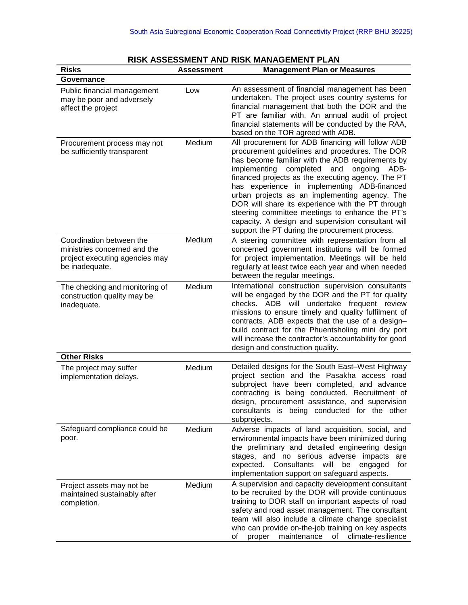| <b>Risks</b>                                                                                                 | Assessment | <b>Management Plan or Measures</b>                                                                                                                                                                                                                                                                                                                                                                                                                                                                                                                                                  |
|--------------------------------------------------------------------------------------------------------------|------------|-------------------------------------------------------------------------------------------------------------------------------------------------------------------------------------------------------------------------------------------------------------------------------------------------------------------------------------------------------------------------------------------------------------------------------------------------------------------------------------------------------------------------------------------------------------------------------------|
| Governance                                                                                                   |            |                                                                                                                                                                                                                                                                                                                                                                                                                                                                                                                                                                                     |
| Public financial management<br>may be poor and adversely<br>affect the project                               | Low        | An assessment of financial management has been<br>undertaken. The project uses country systems for<br>financial management that both the DOR and the<br>PT are familiar with. An annual audit of project<br>financial statements will be conducted by the RAA,<br>based on the TOR agreed with ADB.                                                                                                                                                                                                                                                                                 |
| Procurement process may not<br>be sufficiently transparent                                                   | Medium     | All procurement for ADB financing will follow ADB<br>procurement guidelines and procedures. The DOR<br>has become familiar with the ADB requirements by<br>ADB-<br>implementing<br>completed<br>and<br>ongoing<br>financed projects as the executing agency. The PT<br>has experience in implementing ADB-financed<br>urban projects as an implementing agency. The<br>DOR will share its experience with the PT through<br>steering committee meetings to enhance the PT's<br>capacity. A design and supervision consultant will<br>support the PT during the procurement process. |
| Coordination between the<br>ministries concerned and the<br>project executing agencies may<br>be inadequate. | Medium     | A steering committee with representation from all<br>concerned government institutions will be formed<br>for project implementation. Meetings will be held<br>regularly at least twice each year and when needed<br>between the regular meetings.                                                                                                                                                                                                                                                                                                                                   |
| The checking and monitoring of<br>construction quality may be<br>inadequate.                                 | Medium     | International construction supervision consultants<br>will be engaged by the DOR and the PT for quality<br>checks. ADB will undertake frequent review<br>missions to ensure timely and quality fulfilment of<br>contracts. ADB expects that the use of a design-<br>build contract for the Phuentsholing mini dry port<br>will increase the contractor's accountability for good<br>design and construction quality.                                                                                                                                                                |
| <b>Other Risks</b>                                                                                           |            |                                                                                                                                                                                                                                                                                                                                                                                                                                                                                                                                                                                     |
| The project may suffer<br>implementation delays.                                                             | Medium     | Detailed designs for the South East-West Highway<br>project section and the Pasakha access road<br>subproject have been completed, and advance<br>contracting is being conducted. Recruitment of<br>design, procurement assistance, and supervision<br>consultants is being conducted for the other<br>subprojects.                                                                                                                                                                                                                                                                 |
| Safeguard compliance could be<br>poor.                                                                       | Medium     | Adverse impacts of land acquisition, social, and<br>environmental impacts have been minimized during<br>the preliminary and detailed engineering design<br>stages, and no serious adverse<br>impacts<br>are<br>expected.<br>Consultants<br>will<br>for<br>be<br>engaged<br>implementation support on safeguard aspects.                                                                                                                                                                                                                                                             |
| Project assets may not be<br>maintained sustainably after<br>completion.                                     | Medium     | A supervision and capacity development consultant<br>to be recruited by the DOR will provide continuous<br>training to DOR staff on important aspects of road<br>safety and road asset management. The consultant<br>team will also include a climate change specialist<br>who can provide on-the-job training on key aspects<br>maintenance<br>0f<br>climate-resilience<br>оf<br>proper                                                                                                                                                                                            |

## **RISK ASSESSMENT AND RISK MANAGEMENT PLAN**